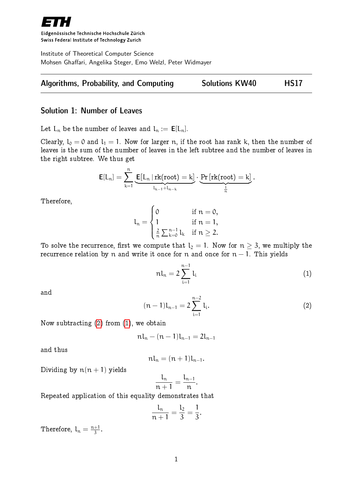

Eidgenössische Technische Hochschule Zürich Swiss Federal Institute of Technology Zurich

Institute of Theoretical Computer Science Mohsen Ghaffari, Angelika Steger, Emo Welzl, Peter Widmayer



## Solution 1: Number of Leaves

Let  $L_n$  be the number of leaves and  $l_n := \mathbf{E}[L_n]$ .

Clearly,  $l_0 = 0$  and  $l_1 = 1$ . Now for larger n, if the root has rank k, then the number of leaves is the sum of the number of leaves in the left subtree and the number of leaves in the right subtree. We thus get

$$
\textbf{E}[L_n] = \sum_{k=1}^n \underbrace{\textbf{E}[L_n \,|\, \text{rk}(\text{root}) = k]}_{l_{k-1}+l_{n-k}} \cdot \underbrace{\Pr\left[\text{rk}(\text{root}) = k\right]}_{\frac{1}{n}}.
$$

Therefore,

$$
l_n=\begin{cases}0 &\text{if }n=0,\\1 &\text{if }n=1,\\ \frac{2}{n}\sum_{k=0}^{n-1}l_k &\text{if }n\geq 2.\end{cases}
$$

To solve the recurrence, first we compute that  $l_2 = 1$ . Now for  $n \geq 3$ , we multiply the recurrence relation by n and write it once for n and once for  $n - 1$ . This yields

<span id="page-0-1"></span>
$$
n l_n = 2 \sum_{i=1}^{n-1} l_i
$$
 (1)

<span id="page-0-0"></span>and

$$
(n-1)l_{n-1}=2\sum_{i=1}^{n-2}l_i.
$$
 (2)

Now subtracting [\(2\)](#page-0-0) from [\(1\)](#page-0-1), we obtain

$$
n l_n - (n-1) l_{n-1} = 2 l_{n-1}
$$

and thus

$$
nl_n=(n+1)l_{n-1}.
$$

Dividing by  $n(n + 1)$  yields

$$
\frac{l_n}{n+1}=\frac{l_{n-1}}{n}.
$$

Repeated application of this equality demonstrates that

$$
\frac{l_n}{n+1} = \frac{l_2}{3} = \frac{1}{3}.
$$

Therefore,  $l_n = \frac{n+1}{3}$  $\frac{+1}{3}$ .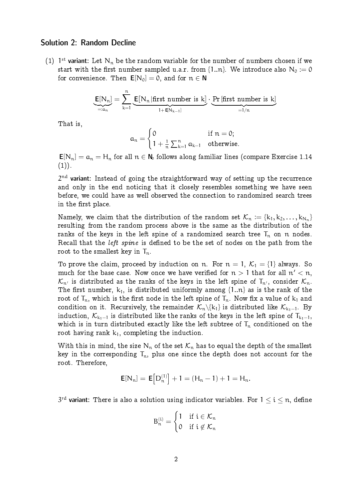### Solution 2: Random Decline

(1) 1<sup>st</sup> variant: Let  $N_n$  be the random variable for the number of numbers chosen if we start with the first number sampled u.a.r. from  $\{1..n\}$ . We introduce also  $N_0 := 0$ for convenience. Then  $E[N_0] = 0$ , and for  $n \in N$ 

$$
\underbrace{\mathsf{E}[N_n]}_{=:a_n} = \sum_{k=1}^n \underbrace{\mathsf{E}[N_n \, | \, \text{first number is } k]}_{1 + \mathsf{E}[N_{k-1}]}\cdot \underbrace{\Pr \, [\text{first number is } k]}_{=1/n}
$$

That is,

$$
\alpha_n = \begin{cases} 0 & \text{if } n = 0; \\ 1 + \frac{1}{n} \sum_{k=1}^n a_{k-1} & \text{otherwise.} \end{cases}
$$

 $E[N_n] = a_n = H_n$  for all  $n \in \mathbb{N}_0$  follows along familiar lines (compare Exercise 1.14  $(1)$ ).

 $2^{\rm nd}$  variant: Instead of going the straightforward way of setting up the recurrence and only in the end noticing that it closely resembles something we have seen before, we could have as well observed the connection to randomized search trees in the first place.

Namely, we claim that the distribution of the random set  $\mathcal{K}_n := \{k_1, k_2, \ldots, k_{N_n}\}$ resulting from the random process above is the same as the distribution of the ranks of the keys in the left spine of a randomized search tree  $T_n$  on n nodes. Recall that the left spine is defined to be the set of nodes on the path from the root to the smallest key in  $T_n$ .

To prove the claim, proceed by induction on n. For  $n = 1, K_1 = \{1\}$  always. So much for the base case. Now once we have verified for  $n>1$  that for all  $n^{\prime} < n,$  $\mathcal{K}_{n'}$  is distributed as the ranks of the keys in the left spine of  $T_{n'}$ , consider  $\mathcal{K}_n$ . The first number,  $k_1$ , is distributed uniformly among  $\{1..n\}$  as is the rank of the root of  $T_n$ , which is the first node in the left spine of  $T_n$ . Now fix a value of  $k_1$  and condition on it. Recursively, the remainder  $\mathcal{K}_n\backslash\{k_1\}$  is distributed like  $\mathcal{K}_{k_1-1}$ . By induction,  $K_{k_1-1}$  is distributed like the ranks of the keys in the left spine of  $T_{k_1-1}$ , which is in turn distributed exactly like the left subtree of  $T_n$  conditioned on the root having rank  $k_1$ , completing the induction.

With this in mind, the size  $N_n$  of the set  $K_n$  has to equal the depth of the smallest key in the corresponding  $T_n$ , plus one since the depth does not account for the root. Therefore,

$$
E[N_n] = E[D_n^{(1)}] + 1 = (H_n - 1) + 1 = H_n.
$$

 $3^{\text{rd}}$  variant: There is also a solution using indicator variables. For  $1 \leq \mathfrak{i} \leq \mathfrak{n},$  define

$$
B_n^{(i)} = \begin{cases} 1 & \text{if } i \in \mathcal{K}_n \\ 0 & \text{if } i \not\in \mathcal{K}_n \end{cases}
$$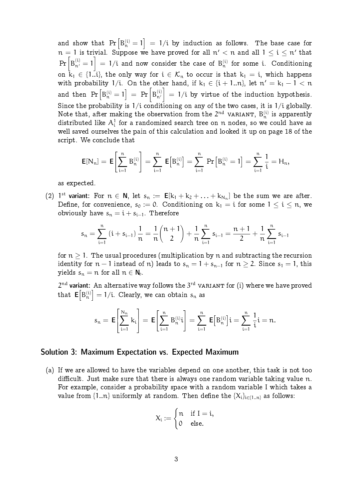and show that  $\Pr\left[\mathrm{B}_\mathfrak{n}^{(\mathfrak{i})} = 1\right] \ = \ 1/\mathfrak{i}$  by induction as follows. The base case for  $n = 1$  is trivial. Suppose we have proved for all  $n' < n$  and all  $1 \le i \le n'$  that  $\Pr\left[\texttt{B}^{(\text{i})}_{\texttt{n}'}=1\right]\;=\;1/\text{i}$  and now consider the case of  $\texttt{B}^{(\text{i})}_{\texttt{n}}$  for some i. Conditioning on  $k_1 \in \{1..i\}$ , the only way for  $i \in \mathcal{K}_n$  to occur is that  $k_1 = i$ , which happens with probability 1/i. On the other hand, if  $k_1 \in \{i + 1..n\}$ , let  $n' = k_1 - 1 < n$ and then  $\Pr\left[\mathrm{B}^{\mathrm{(i)}}_{\mathsf{n}}=1\right]\ =\ \Pr\left[\mathrm{B}^{\mathrm{(i)}}_{\mathsf{n}'}\right]$  $\Big] = 1/i$  by virtue of the induction hypothesis. Since the probability is  $1/i$  conditioning on any of the two cases, it is  $1/i$  globally. Note that, after making the observation from the  $2^{nd}$  variant,  $B_n^{(i)}$  is apparently distributed like  $\mathcal{A}^1_i$  for a randomized search tree on  $\mathfrak n$  nodes, so we could have as well saved ourselves the pain of this calculation and looked it up on page 18 of the script. We conclude that

$$
\mathsf{E}[N_n] = \mathsf{E}\!\left[\sum_{i=1}^n B_n^{(i)}\right] = \sum_{i=1}^n \mathsf{E}\!\left[B_n^{(i)}\right] = \sum_{i=1}^n \Pr\left[B_n^{(i)} = 1\right] = \sum_{i=1}^n \frac{1}{i} = H_n,
$$

as expected.

(2) 1<sup>st</sup> variant: For  $n \in \mathbb{N}$ , let  $s_n := \mathbb{E}[k_1 + k_2 + \ldots + k_{N_n}]$  be the sum we are after. Define, for convenience,  $s_0 := 0$ . Conditioning on  $k_1 = i$  for some  $1 \le i \le n$ , we obviously have  $s_n = i + s_{i-1}$ . Therefore

$$
s_n=\sum_{i=1}^n\left(i+s_{i-1}\right)\frac{1}{n}=\frac{1}{n}\binom{n+1}{2}+\frac{1}{n}\sum_{i=1}^ns_{i-1}=\frac{n+1}{2}+\frac{1}{n}\sum_{i=1}^ns_{i-1}
$$

for  $n > 1$ . The usual procedures (multiplication by n and subtracting the recursion identity for  $n-1$  instead of n) leads to  $s_n = 1 + s_{n-1}$  for  $n \ge 2$ . Since  $s_1 = 1$ , this yields  $s_n = n$  for all  $n \in \mathbb{N}_0$ .

 $2^{\rm nd}$  variant: An alternative way follows the  $3^{\rm rd}$  variant for (i) where we have proved that  $\mathsf{E}\bigl[\mathsf{B}_\mathfrak{n}^{(\mathfrak{i})}\bigr]=1/\mathfrak{i}.$  Clearly, we can obtain  $s_\mathfrak{n}$  as

$$
s_n = \mathsf{E}\!\left[\sum_{i=1}^{N_n}k_i\right] = \mathsf{E}\!\left[\sum_{i=1}^nB_n^{(i)}i\right] = \sum_{i=1}^n\,\mathsf{E}\!\left[B_n^{(i)}\right]\!i = \sum_{i=1}^n\frac{1}{i}i = n.
$$

#### Solution 3: Maximum Expectation vs. Expected Maximum

(a) If we are allowed to have the variables depend on one another, this task is not too difficult. Just make sure that there is always one random variable taking value n. For example, consider a probability space with a random variable I which takes a value from  $\{1..n\}$  uniformly at random. Then define the  $\{X_i\}_{i\in\{1..n\}}$  as follows:

$$
X_i:=\begin{cases}n & \text{if }I=i,\\0 & \text{else.}\end{cases}
$$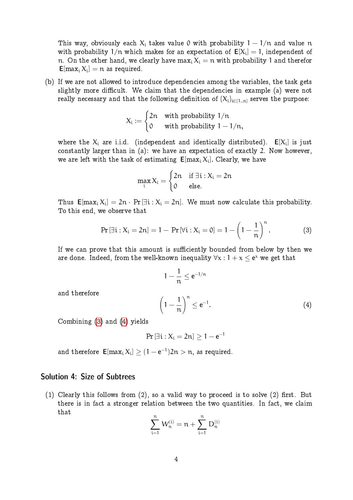This way, obviously each  $X_i$  takes value 0 with probability  $1 - 1/n$  and value n with probability  $1/n$  which makes for an expectation of  $E[X_i] = 1$ , independent of n. On the other hand, we clearly have max<sub>i</sub>  $X_i = n$  with probability 1 and therefor  ${\sf E}[\max_{\mathfrak i} \raisebox{2pt}{\rm X}_{\mathfrak i}]=\mathfrak n$  as required.

(b) If we are not allowed to introduce dependencies among the variables, the task gets slightly more difficult. We claim that the dependencies in example (a) were not really necessary and that the following definition of  ${X_i}_{i\in{1..n}}$  serves the purpose:

$$
X_i:=\begin{cases}2n & \text{with probability }1/n\\0 & \text{with probability }1-1/n,\end{cases}
$$

where the  $X_i$  are i.i.d. (independent and identically distributed).  $E[X_i]$  is just constantly larger than in (a): we have an expectation of exactly 2. Now however, we are left with the task of estimating  ${\sf E}[\max_i X_i].$  Clearly, we have

<span id="page-3-0"></span>
$$
\max_i X_i = \begin{cases} 2n & \text{if } \exists i: X_i = 2n \\ 0 & \text{else.} \end{cases}
$$

Thus  $\mathsf{E}[\max_i X_i] = 2n \cdot \Pr[\exists i : X_i = 2n]$ . We must now calculate this probability. To this end, we observe that

$$
\Pr[\exists i: X_i = 2n] = 1 - \Pr[\forall i: X_i = 0] = 1 - \left(1 - \frac{1}{n}\right)^n.
$$
 (3)

If we can prove that this amount is sufficiently bounded from below by then we are done. Indeed, from the well-known inequality  $\forall x : 1 + x \leq e^x$  we get that

$$
1 - \frac{1}{n} \le e^{-1/n}
$$

$$
\left(1 - \frac{1}{n}\right)^n \le e^{-1}.
$$
 (4)

Combining [\(3\)](#page-3-0) and [\(4\)](#page-3-1) yields

<span id="page-3-1"></span>and therefore

$$
\Pr\left[\exists i: X_i=2n\right]\geq 1-e^{-1}
$$

and therefore  $\mathsf{E}[\max_i X_i] \geq (1 - e^{-1})2n > n$ , as required.

# Solution 4: Size of Subtrees

(1) Clearly this follows from  $(2)$ , so a valid way to proceed is to solve  $(2)$  first. But there is in fact a stronger relation between the two quantities. In fact, we claim that

$$
\sum_{i=1}^n\,W_n^{(i)}=n+\sum_{i=1}^n\,D_n^{(i)}
$$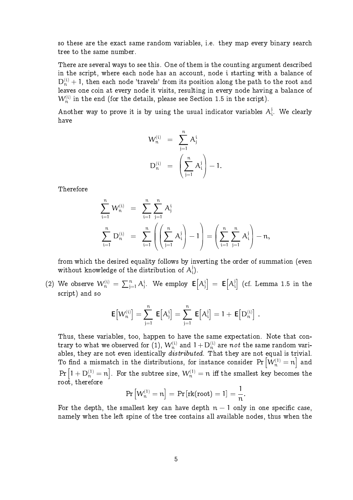so these are the exact same random variables, i.e. they map every binary search tree to the same number.

There are several ways to see this. One of them is the counting argument described in the script, where each node has an account, node i starting with a balance of  $D_n^{(i)} + 1$ , then each node 'travels' from its position along the path to the root and leaves one coin at every node it visits, resulting in every node having a balance of  $\mathcal{W}_n^{(i)}$  in the end (for the details, please see Section 1.5 in the script).

Another way to prove it is by using the usual indicator variables  $A_i^j$  $i$ . We clearly have

$$
\begin{array}{rcl} W_n^{(i)} & = & \displaystyle \sum_{j=1}^n A_j^i \\[0.2cm] D_n^{(i)} & = & \displaystyle \left( \sum_{j=1}^n A_i^j \right) - 1. \end{array}
$$

Therefore

$$
\begin{array}{lcl} \sum\limits_{i=1}^{n}W_{n}^{(i)} & = & \sum\limits_{i=1}^{n}\sum\limits_{j=1}^{n}A_{j}^{i}\\ \sum\limits_{i=1}^{n}D_{n}^{(i)} & = & \sum\limits_{i=1}^{n}\left(\left(\sum\limits_{j=1}^{n}A_{i}^{j}\right)-1\right)=\left(\sum\limits_{i=1}^{n}\sum\limits_{j=1}^{n}A_{i}^{j}\right)-n,\end{array}
$$

from which the desired equality follows by inverting the order of summation (even without knowledge of the distribution of  $A_i^j$ i ).

(2) We observe  $W_n^{(i)} = \sum_{j=1}^n A_j^i$ . We employ  $E[A_j^i] = E[A_i^i]$  $\begin{bmatrix} \dot{\mathfrak{j}} \end{bmatrix}$  (cf. Lemma 1.5 in the script) and so

$$
\hbox{\bf E}\big[W_n^{(i)}\big]=\sum_{j=1}^n\ \hbox{\bf E}\big[A_j^i\big]=\sum_{j=1}^n\ \hbox{\bf E}\big[A_i^j\big]=1+\ \hbox{\bf E}\big[D_n^{(i)}\big]\ .
$$

Thus, these variables, too, happen to have the same expectation. Note that contrary to what we observed for (1),  ${\color{black} W_{\textrm{n}}^{(\textrm{i})}}$  and  $1+{\color{black} \mathrm{D_{n}^{(\textrm{i)}}}}$  are  $\textit{not}$  the same random variables, they are not even identically *distributed*. That they are not equal is trivial. To find a mismatch in the distributions, for instance consider  $\Pr\left[\mathcal{W}_\mathfrak{n}^{(1)}=\mathfrak{n}\right]$  and  $\Pr\left[1 + \mathrm{D}^{(1)}_{\mathfrak{n}} = \mathfrak{n} \right].$  For the subtree size,  $\mathcal{W}^{(1)}_{\mathfrak{n}} = \mathfrak{n}$  iff the smallest key becomes the root, therefore

$$
\Pr\left[W_n^{(1)}=n\right]=\Pr\left[\mathrm{rk}(\mathrm{root})=1\right]=\frac{1}{n}.
$$

For the depth, the smallest key can have depth  $n-1$  only in one specific case, namely when the left spine of the tree contains all available nodes, thus when the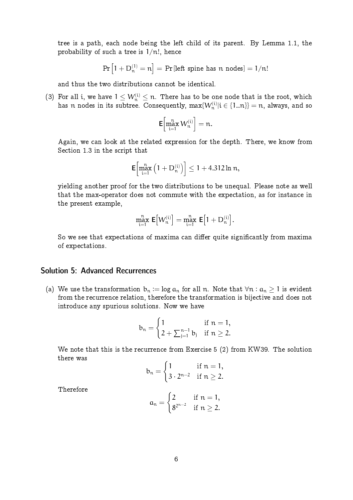tree is a path, each node being the left child of its parent. By Lemma 1.1, the probability of such a tree is  $1/n!$ , hence

$$
Pr\left[1 + D_n^{(1)} = n\right] = Pr\left[\text{left spine has } n \text{ nodes}\right] = 1/n!
$$

and thus the two distributions cannot be identical.

(3) For all i, we have  $1 \leq W_n^{(i)} \leq n$ . There has to be one node that is the root, which has  $n$  nodes in its subtree. Consequently,  $\max\{W_n^{(i)}|i\in\{1..n\}}=n,$  always, and so

$$
\textbf{E}\!\left[\max_{i=1}^n W_n^{(i)}\right]=n.
$$

Again, we can look at the related expression for the depth. There, we know from Section 1.3 in the script that

$$
\mathsf{E}\!\left[\max_{i=1}^n\left(1+D_n^{(i)}\right)\right]\leq 1+4.312\ln n,
$$

yielding another proof for the two distributions to be unequal. Please note as well that the max-operator does not commute with the expectation, as for instance in the present example,

$$
\max_{i=1}^n \, \mathsf{E}\bigl[W_n^{(i)}\bigr] = \max_{i=1}^n \, \mathsf{E}\bigl[1+D_n^{(i)}\bigr].
$$

So we see that expectations of maxima can differ quite significantly from maxima of expectations.

# Solution 5: Advanced Recurrences

(a) We use the transformation  $b_n := \log a_n$  for all n. Note that  $\forall n : a_n > 1$  is evident from the recurrence relation, therefore the transformation is bijective and does not introduce any spurious solutions. Now we have

$$
b_n=\begin{cases}1 & \text{if }n=1,\\ 2+\sum_{j=1}^{n-1}b_j & \text{if }n\geq 2.\end{cases}
$$

We note that this is the recurrence from Exercise 5 (2) from KW39. The solution there was

$$
b_n = \begin{cases} 1 & \text{if } n = 1, \\ 3 \cdot 2^{n-2} & \text{if } n \geq 2. \end{cases}
$$

Therefore

$$
\alpha_n=\begin{cases} 2 & \text{if }n=1,\\ 8^{2^{n-2}} & \text{if }n\geq 2.\end{cases}
$$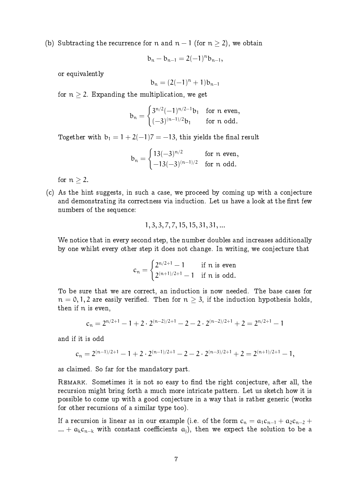(b) Subtracting the recurrence for n and  $n-1$  (for  $n > 2$ ), we obtain

$$
b_n-b_{n-1}=2(-1)^nb_{n-1},\\
$$

or equivalently

$$
b_n = (2(-1)^n + 1)b_{n-1}
$$

for  $n \geq 2$ . Expanding the multiplication, we get

$$
b_n=\begin{cases} 3^{n/2}(-1)^{n/2-1}b_1&\text{for $n$ even,}\\ (-3)^{(n-1)/2}b_1&\text{for $n$ odd.}\end{cases}
$$

Together with  $b_1 = 1 + 2(-1)7 = -13$ , this yields the final result

$$
b_n=\begin{cases} 13(-3)^{n/2} & \text{for $n$ even,}\\ -13(-3)^{(n-1)/2} & \text{for $n$ odd.}\end{cases}
$$

for  $n > 2$ .

(c) As the hint suggests, in such a case, we proceed by coming up with a conjecture and demonstrating its correctness via induction. Let us have a look at the first few numbers of the sequence:

$$
1, 3, 3, 7, 7, 15, 15, 31, 31, \dots
$$

We notice that in every second step, the number doubles and increases additionally by one whilst every other step it does not change. In writing, we conjecture that

$$
c_n = \begin{cases} 2^{n/2+1} - 1 & \text{if } n \text{ is even} \\ 2^{(n+1)/2+1} - 1 & \text{if } n \text{ is odd.} \end{cases}
$$

To be sure that we are correct, an induction is now needed. The base cases for  $n = 0, 1, 2$  are easily verified. Then for  $n \geq 3$ , if the induction hypothesis holds, then if n is even,

$$
c_n = 2^{n/2+1} - 1 + 2 \cdot 2^{(n-2)/2+1} - 2 - 2 \cdot 2^{(n-2)/2+1} + 2 = 2^{n/2+1} - 1
$$

and if it is odd

$$
c_n = 2^{(n-1)/2+1} - 1 + 2 \cdot 2^{(n-1)/2+1} - 2 - 2 \cdot 2^{(n-3)/2+1} + 2 = 2^{(n+1)/2+1} - 1,
$$

as claimed. So far for the mandatory part.

REMARK. Sometimes it is not so easy to find the right conjecture, after all, the recursion might bring forth a much more intricate pattern. Let us sketch how it is possible to come up with a good conjecture in a way that is rather generic (works for other recursions of a similar type too).

If a recursion is linear as in our example (i.e. of the form  $c_n = a_1c_{n-1} + a_2c_{n-2}$  + ... +  $a_kc_{n-k}$  with constant coefficients  $a_j$ , then we expect the solution to be a